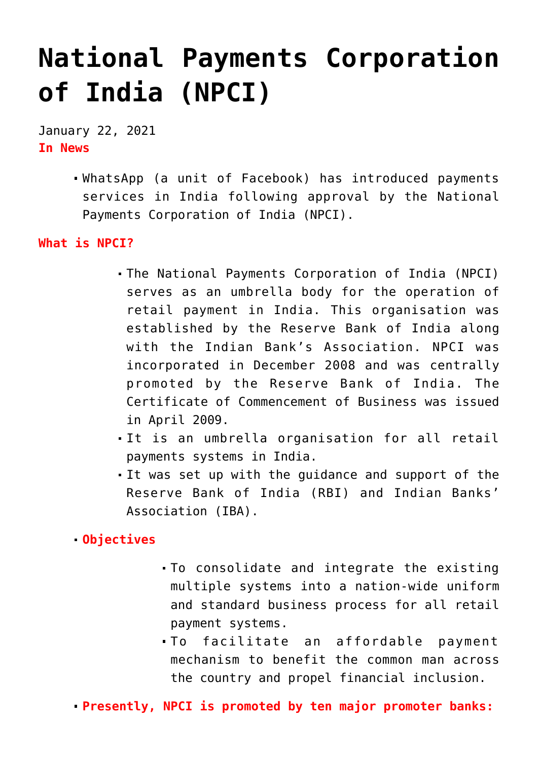# **[National Payments Corporation](https://journalsofindia.com/national-payments-corporation-of-india-npci/) [of India \(NPCI\)](https://journalsofindia.com/national-payments-corporation-of-india-npci/)**

January 22, 2021 **In News**

> WhatsApp (a unit of Facebook) has introduced payments services in India following approval by the National Payments Corporation of India (NPCI).

#### **What is NPCI?**

- The National Payments Corporation of India (NPCI) serves as an umbrella body for the operation of retail payment in India. This organisation was established by the Reserve Bank of India along with the Indian Bank's Association. NPCI was incorporated in December 2008 and was centrally promoted by the Reserve Bank of India. The Certificate of Commencement of Business was issued in April 2009.
- It is an umbrella organisation for all retail payments systems in India.
- It was set up with the guidance and support of the Reserve Bank of India (RBI) and Indian Banks' Association (IBA).

### **Objectives**

- To consolidate and integrate the existing multiple systems into a nation-wide uniform and standard business process for all retail payment systems.
- To facilitate an affordable payment mechanism to benefit the common man across the country and propel financial inclusion.

**Presently, NPCI is promoted by ten major promoter banks:**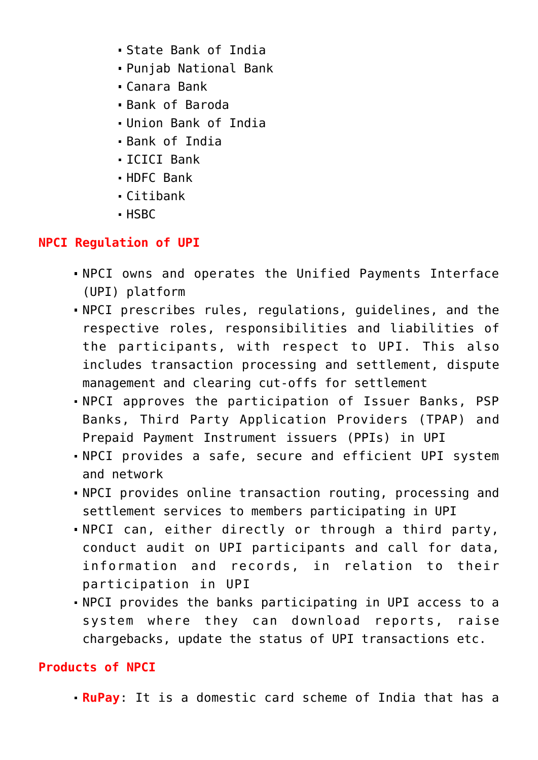- State Bank of India
- Punjab National Bank
- Canara Bank
- Bank of Baroda
- Union Bank of India
- Bank of India
- ICICI Bank
- HDFC Bank
- Citibank
- HSBC

## **NPCI Regulation of UPI**

- NPCI owns and operates the Unified Payments Interface (UPI) platform
- NPCI prescribes rules, regulations, guidelines, and the respective roles, responsibilities and liabilities of the participants, with respect to UPI. This also includes transaction processing and settlement, dispute management and clearing cut-offs for settlement
- NPCI approves the participation of Issuer Banks, PSP Banks, Third Party Application Providers (TPAP) and Prepaid Payment Instrument issuers (PPIs) in UPI
- NPCI provides a safe, secure and efficient UPI system and network
- NPCI provides online transaction routing, processing and settlement services to members participating in UPI
- NPCI can, either directly or through a third party, conduct audit on UPI participants and call for data, information and records, in relation to their participation in UPI
- NPCI provides the banks participating in UPI access to a system where they can download reports, raise chargebacks, update the status of UPI transactions etc.

## **Products of NPCI**

**RuPay**: It is a domestic card scheme of India that has a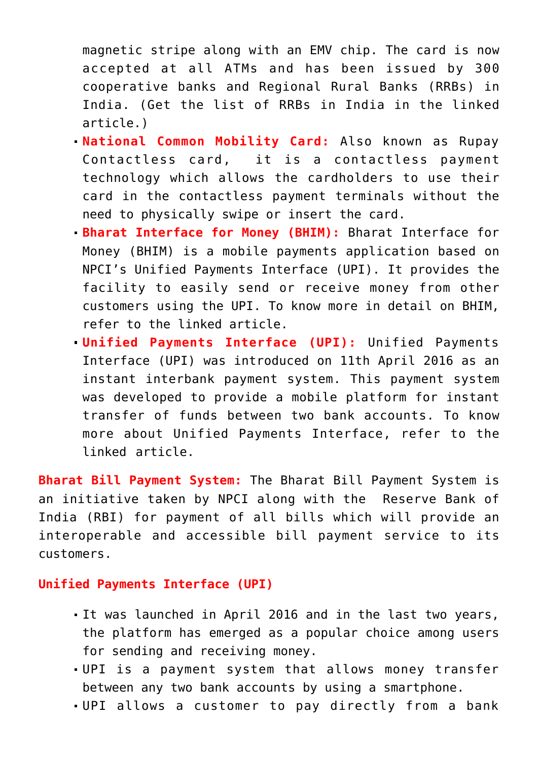magnetic stripe along with an EMV chip. The card is now accepted at all ATMs and has been issued by 300 cooperative banks and Regional Rural Banks (RRBs) in India. (Get the list of RRBs in India in the linked article.)

- **National Common Mobility Card:** Also known as Rupay Contactless card, it is a contactless payment technology which allows the cardholders to use their card in the contactless payment terminals without the need to physically swipe or insert the card.
- **Bharat Interface for Money (BHIM):** Bharat Interface for Money (BHIM) is a mobile payments application based on NPCI's Unified Payments Interface (UPI). It provides the facility to easily send or receive money from other customers using the UPI. To know more in detail on BHIM, refer to the linked article.
- **Unified Payments Interface (UPI):** Unified Payments Interface (UPI) was introduced on 11th April 2016 as an instant interbank payment system. This payment system was developed to provide a mobile platform for instant transfer of funds between two bank accounts. To know more about Unified Payments Interface, refer to the linked article.

**Bharat Bill Payment System:** The Bharat Bill Payment System is an initiative taken by NPCI along with the Reserve Bank of India (RBI) for payment of all bills which will provide an interoperable and accessible bill payment service to its customers.

#### **Unified Payments Interface (UPI)**

- It was launched in April 2016 and in the last two years, the platform has emerged as a popular choice among users for sending and receiving money.
- UPI is a payment system that allows money transfer between any two bank accounts by using a smartphone.
- UPI allows a customer to pay directly from a bank